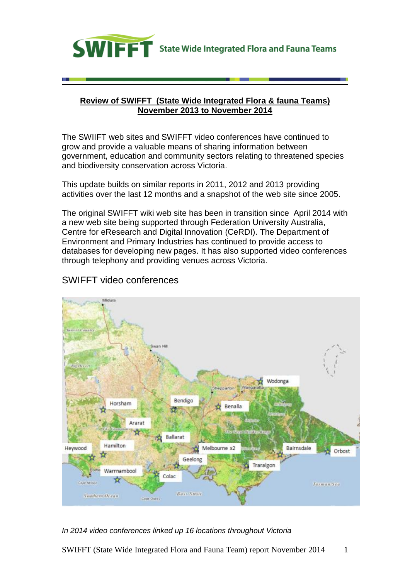

### **Review of SWIFFT (State Wide Integrated Flora & fauna Teams) November 2013 to November 2014**

The SWIIFT web sites and SWIFFT video conferences have continued to grow and provide a valuable means of sharing information between government, education and community sectors relating to threatened species and biodiversity conservation across Victoria.

This update builds on similar reports in 2011, 2012 and 2013 providing activities over the last 12 months and a snapshot of the web site since 2005.

The original SWIFFT wiki web site has been in transition since April 2014 with a new web site being supported through Federation University Australia, Centre for eResearch and Digital Innovation (CeRDI). The Department of Environment and Primary Industries has continued to provide access to databases for developing new pages. It has also supported video conferences through telephony and providing venues across Victoria.

# SWIFFT video conferences



### *In 2014 video conferences linked up 16 locations throughout Victoria*

SWIFFT (State Wide Integrated Flora and Fauna Team) report November 2014 1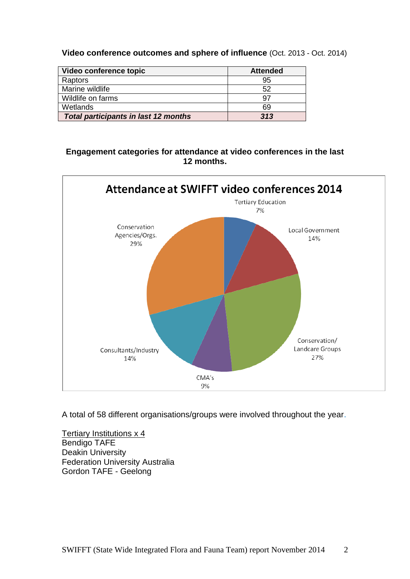**Video conference outcomes and sphere of influence** (Oct. 2013 - Oct. 2014)

| Video conference topic                      | <b>Attended</b> |
|---------------------------------------------|-----------------|
| Raptors                                     | 95              |
| Marine wildlife                             | 52              |
| Wildlife on farms                           | 97              |
| Wetlands                                    | 69              |
| <b>Total participants in last 12 months</b> | 313             |

### **Engagement categories for attendance at video conferences in the last 12 months.**



A total of 58 different organisations/groups were involved throughout the year.

Tertiary Institutions x 4 Bendigo TAFE Deakin University Federation University Australia Gordon TAFE - Geelong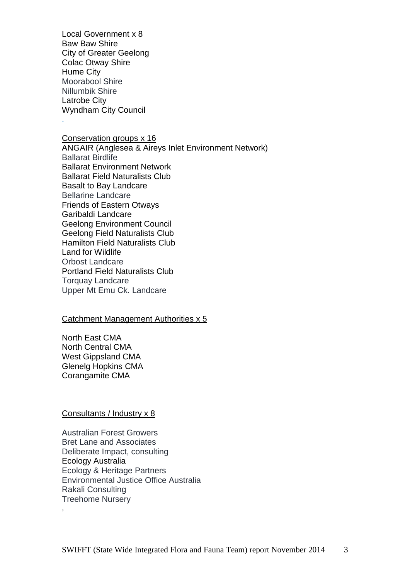Local Government x 8 Baw Baw Shire City of Greater Geelong Colac Otway Shire Hume City Moorabool Shire Nillumbik Shire Latrobe City Wyndham City Council

.

Conservation groups x 16 ANGAIR (Anglesea & Aireys Inlet Environment Network) Ballarat Birdlife Ballarat Environment Network Ballarat Field Naturalists Club Basalt to Bay Landcare Bellarine Landcare Friends of Eastern Otways Garibaldi Landcare Geelong Environment Council Geelong Field Naturalists Club Hamilton Field Naturalists Club Land for Wildlife Orbost Landcare Portland Field Naturalists Club Torquay Landcare Upper Mt Emu Ck. Landcare

### Catchment Management Authorities x 5

North East CMA North Central CMA West Gippsland CMA Glenelg Hopkins CMA Corangamite CMA

#### Consultants / Industry x 8

,

Australian Forest Growers Bret Lane and Associates Deliberate Impact, consulting Ecology Australia Ecology & Heritage Partners Environmental Justice Office Australia Rakali Consulting Treehome Nursery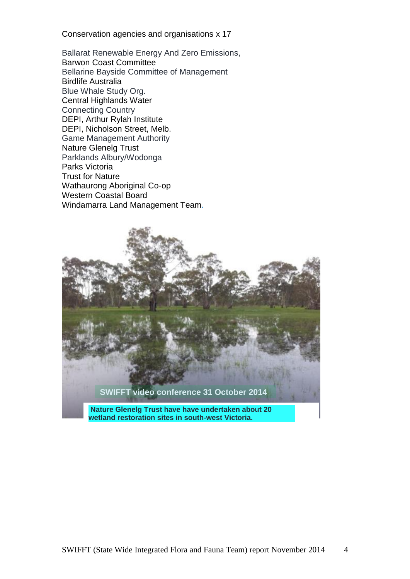### Conservation agencies and organisations x 17

Ballarat Renewable Energy And Zero Emissions, Barwon Coast Committee Bellarine Bayside Committee of Management Birdlife Australia Blue Whale Study Org. Central Highlands Water Connecting Country DEPI, Arthur Rylah Institute DEPI, Nicholson Street, Melb. Game Management Authority Nature Glenelg Trust Parklands Albury/Wodonga Parks Victoria Trust for Nature Wathaurong Aboriginal Co-op Western Coastal Board Windamarra Land Management Team.

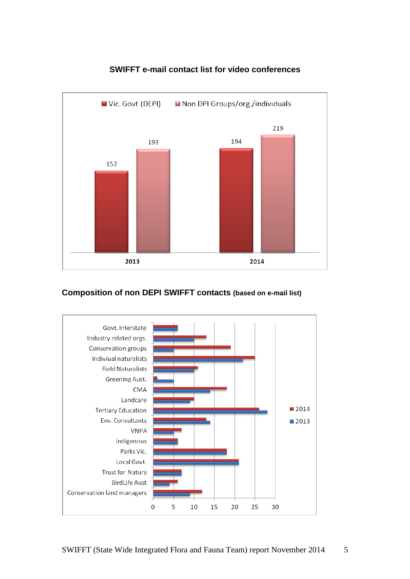

## **SWIFFT e-mail contact list for video conferences**

## **Composition of non DEPI SWIFFT contacts (based on e-mail list)**

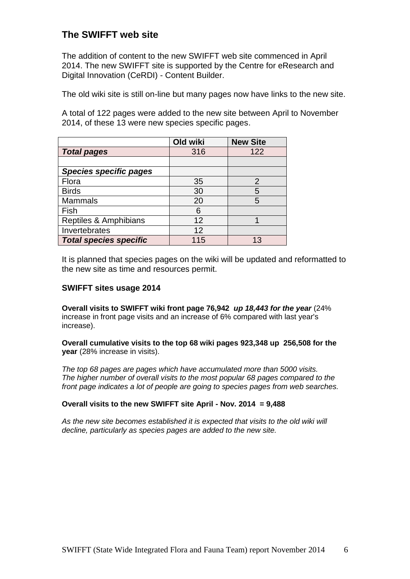# **The SWIFFT web site**

The addition of content to the new SWIFFT web site commenced in April 2014. The new SWIFFT site is supported by the Centre for eResearch and Digital Innovation (CeRDI) - Content Builder.

The old wiki site is still on-line but many pages now have links to the new site.

A total of 122 pages were added to the new site between April to November 2014, of these 13 were new species specific pages.

|                               | Old wiki | <b>New Site</b> |
|-------------------------------|----------|-----------------|
| <b>Total pages</b>            | 316      | 122             |
|                               |          |                 |
| <b>Species specific pages</b> |          |                 |
| Flora                         | 35       | $\overline{2}$  |
| <b>Birds</b>                  | 30       | 5               |
| <b>Mammals</b>                | 20       | 5               |
| Fish                          | 6        |                 |
| Reptiles & Amphibians         | 12       |                 |
| Invertebrates                 | 12       |                 |
| <b>Total species specific</b> | 115      |                 |

It is planned that species pages on the wiki will be updated and reformatted to the new site as time and resources permit.

#### **SWIFFT sites usage 2014**

**Overall visits to SWIFFT wiki front page 76,942** *up 18,443 for the year* (24% increase in front page visits and an increase of 6% compared with last year's increase).

**Overall cumulative visits to the top 68 wiki pages 923,348 up 256,508 for the year** (28% increase in visits).

*The top 68 pages are pages which have accumulated more than 5000 visits. The higher number of overall visits to the most popular 68 pages compared to the front page indicates a lot of people are going to species pages from web searches.*

#### **Overall visits to the new SWIFFT site April - Nov. 2014 = 9,488**

*As the new site becomes established it is expected that visits to the old wiki will decline, particularly as species pages are added to the new site.*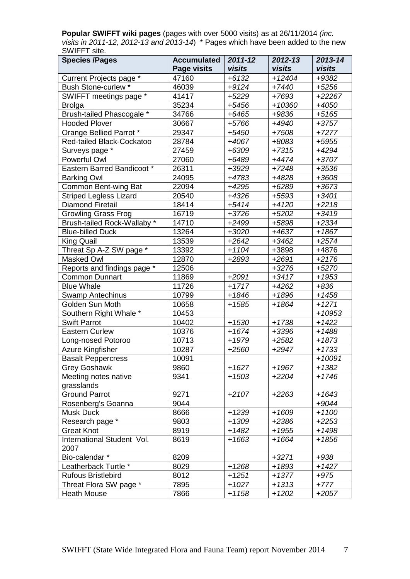**Popular SWIFFT wiki pages** (pages with over 5000 visits) as at 26/11/2014 *(inc. visits in 2011-12, 2012-13 and 2013-14*) \* Pages which have been added to the new SWIFFT site.

| <b>Species /Pages</b>         | <b>Accumulated</b> | $2011 - 12$ | 2012-13  | 2013-14  |
|-------------------------------|--------------------|-------------|----------|----------|
|                               | Page visits        | visits      | visits   | visits   |
| Current Projects page *       | 47160              | $+6132$     | $+12404$ | +9382    |
| <b>Bush Stone-curlew*</b>     | 46039              | $+9124$     | $+7440$  | $+5256$  |
| SWIFFT meetings page *        | 41417              | $+5229$     | +7693    | +22267   |
| <b>Brolga</b>                 | 35234              | +5456       | $+10360$ | +4050    |
| Brush-tailed Phascogale *     | 34766              | $+6465$     | +9836    | $+5165$  |
| <b>Hooded Plover</b>          | 30667              | +5766       | +4940    | +3757    |
| Orange Bellied Parrot *       | 29347              | $+5450$     | $+7508$  | $+7277$  |
| Red-tailed Black-Cockatoo     | 28784              | +4067       | +8083    | $+5955$  |
| Surveys page *                | 27459              | $+6309$     | $+7315$  | +4294    |
| Powerful Owl                  | 27060              | +6489       | +4474    | +3707    |
| Eastern Barred Bandicoot *    | 26311              | +3929       | $+7248$  | $+3536$  |
| <b>Barking Owl</b>            | 24095              | +4783       | +4828    | +3608    |
| Common Bent-wing Bat          | 22094              | $+4295$     | $+6289$  | +3673    |
| <b>Striped Legless Lizard</b> | 20540              | $+4326$     | $+5593$  | $+3401$  |
| <b>Diamond Firetail</b>       | 18414              | $+5414$     | $+4120$  | $+2218$  |
| <b>Growling Grass Frog</b>    | 16719              | $+3726$     | $+5202$  | $+3419$  |
| Brush-tailed Rock-Wallaby *   | 14710              | $+2499$     | +5898    | $+2334$  |
| <b>Blue-billed Duck</b>       | 13264              | $+3020$     | +4637    | +1867    |
| <b>King Quail</b>             | 13539              | $+2642$     | $+3462$  | $+2574$  |
| Threat Sp A-Z SW page *       | 13392              | $+1104$     | +3898    | +4876    |
| Masked Owl                    | 12870              | +2893       | $+2691$  | $+2176$  |
| Reports and findings page *   | 12506              |             | $+3276$  | $+5270$  |
| <b>Common Dunnart</b>         | 11869              | $+2091$     | $+3417$  | $+1953$  |
| <b>Blue Whale</b>             | 11726              | $+1717$     | $+4262$  | $+836$   |
| Swamp Antechinus              | 10799              | $+1846$     | $+1896$  | $+1458$  |
| Golden Sun Moth               | 10658              | $+1585$     | $+1864$  | $+1271$  |
| Southern Right Whale *        | 10453              |             |          | $+10953$ |
| <b>Swift Parrot</b>           | 10402              | $+1530$     | $+1738$  | $+1422$  |
| <b>Eastern Curlew</b>         | 10376              | $+1674$     | +3396    | $+1488$  |
| Long-nosed Potoroo            | 10713              | +1979       | $+2582$  | +1873    |
| Azure Kingfisher              | 10287              | $+2560$     | $+2947$  | $+1733$  |
| <b>Basalt Peppercress</b>     | 10091              |             |          | $+10091$ |
| <b>Grey Goshawk</b>           | 9860               | $+1627$     | $+1967$  | $+1382$  |
| Meeting notes native          | 9341               | $+1503$     | $+2204$  | $+1746$  |
| grasslands                    |                    |             |          |          |
| <b>Ground Parrot</b>          | 9271               | $+2107$     | $+2263$  | $+1643$  |
| Rosenberg's Goanna            | 9044               |             |          | $+9044$  |
| Musk Duck                     | 8666               | $+1239$     | $+1609$  | $+1100$  |
| Research page <sup>*</sup>    | 9803               | $+1309$     | $+2386$  | $+2253$  |
| <b>Great Knot</b>             | 8919               | $+1482$     | $+1955$  | +1498    |
| International Student Vol.    | 8619               | $+1663$     | $+1664$  | +1856    |
| 2007                          |                    |             |          |          |
| Bio-calendar *                | 8209               |             | $+3271$  | $+938$   |
| Leatherback Turtle *          | 8029               | $+1268$     | +1893    | +1427    |
| <b>Rufous Bristlebird</b>     | 8012               | $+1251$     | +1377    | +975     |
| Threat Flora SW page *        | 7895               | $+1027$     | $+1313$  | $+777$   |
| <b>Heath Mouse</b>            | 7866               | $+1158$     | $+1202$  | $+2057$  |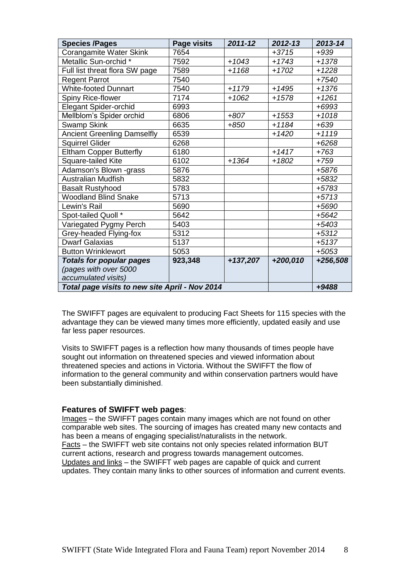| <b>Species /Pages</b>                          | Page visits | 2011-12  | $2012 - 13$ | 2013-14  |
|------------------------------------------------|-------------|----------|-------------|----------|
| Corangamite Water Skink                        | 7654        |          | $+3715$     | $+939$   |
| Metallic Sun-orchid *                          | 7592        | $+1043$  | $+1743$     | $+1378$  |
| Full list threat flora SW page                 | 7589        | $+1168$  | $+1702$     | $+1228$  |
| <b>Regent Parrot</b>                           | 7540        |          |             | $+7540$  |
| <b>White-footed Dunnart</b>                    | 7540        | $+1179$  | $+1495$     | $+1376$  |
| Spiny Rice-flower                              | 7174        | $+1062$  | $+1578$     | $+1261$  |
| <b>Elegant Spider-orchid</b>                   | 6993        |          |             | $+6993$  |
| Mellblom's Spider orchid                       | 6806        | $+807$   | $+1553$     | $+1018$  |
| <b>Swamp Skink</b>                             | 6635        | $+850$   | $+1184$     | $+639$   |
| <b>Ancient Greenling Damselfly</b>             | 6539        |          | $+1420$     | $+1119$  |
| <b>Squirrel Glider</b>                         | 6268        |          |             | $+6268$  |
| <b>Eltham Copper Butterfly</b>                 | 6180        |          | $+1417$     | $+763$   |
| Square-tailed Kite                             | 6102        | $+1364$  | $+1802$     | $+759$   |
| Adamson's Blown -grass                         | 5876        |          |             | +5876    |
| <b>Australian Mudfish</b>                      | 5832        |          |             | +5832    |
| <b>Basalt Rustyhood</b>                        | 5783        |          |             | +5783    |
| <b>Woodland Blind Snake</b>                    | 5713        |          |             | $+5713$  |
| Lewin's Rail                                   | 5690        |          |             | +5690    |
| Spot-tailed Quoll *                            | 5642        |          |             | $+5642$  |
| Variegated Pygmy Perch                         | 5403        |          |             | $+5403$  |
| Grey-headed Flying-fox                         | 5312        |          |             | $+5312$  |
| <b>Dwarf Galaxias</b>                          | 5137        |          |             | $+5137$  |
| <b>Button Wrinklewort</b>                      | 5053        |          |             | $+5053$  |
| <b>Totals for popular pages</b>                | 923,348     | +137,207 | +200,010    | +256,508 |
| (pages with over 5000                          |             |          |             |          |
| accumulated visits)                            |             |          |             |          |
| Total page visits to new site April - Nov 2014 |             |          |             | +9488    |

The SWIFFT pages are equivalent to producing Fact Sheets for 115 species with the advantage they can be viewed many times more efficiently, updated easily and use far less paper resources.

Visits to SWIFFT pages is a reflection how many thousands of times people have sought out information on threatened species and viewed information about threatened species and actions in Victoria. Without the SWIFFT the flow of information to the general community and within conservation partners would have been substantially diminished.

#### **Features of SWIFFT web pages**:

Images – the SWIFFT pages contain many images which are not found on other comparable web sites. The sourcing of images has created many new contacts and has been a means of engaging specialist/naturalists in the network. Facts – the SWIFFT web site contains not only species related information BUT current actions, research and progress towards management outcomes. Updates and links – the SWIFFT web pages are capable of quick and current updates. They contain many links to other sources of information and current events.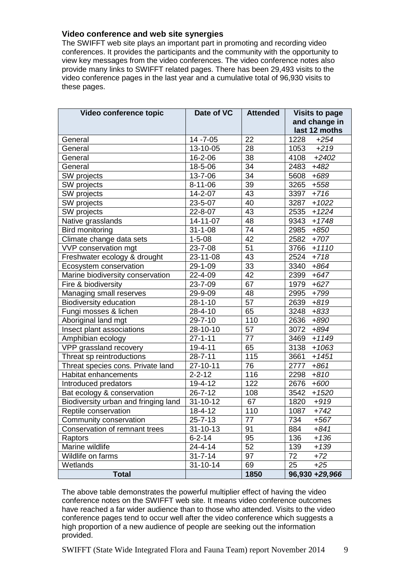### **Video conference and web site synergies**

The SWIFFT web site plays an important part in promoting and recording video conferences. It provides the participants and the community with the opportunity to view key messages from the video conferences. The video conference notes also provide many links to SWIFFT related pages. There has been 29,493 visits to the video conference pages in the last year and a cumulative total of 96,930 visits to these pages.

| Video conference topic               | Date of VC     | <b>Attended</b> | <b>Visits to page</b> |
|--------------------------------------|----------------|-----------------|-----------------------|
|                                      |                |                 | and change in         |
|                                      |                |                 | last 12 moths         |
| General                              | $14 - 7 - 05$  | 22              | 1228<br>$+254$        |
| General                              | 13-10-05       | 28              | 1053<br>$+219$        |
| General                              | 16-2-06        | 38              | 4108<br>$+2402$       |
| General                              | 18-5-06        | 34              | 2483<br>$+482$        |
| SW projects                          | 13-7-06        | 34              | 5608<br>$+689$        |
| SW projects                          | $8 - 11 - 06$  | 39              | 3265 +558             |
| SW projects                          | 14-2-07        | 43              | 3397<br>$+716$        |
| SW projects                          | 23-5-07        | 40              | 3287<br>$+1022$       |
| SW projects                          | 22-8-07        | 43              | 2535<br>$+1224$       |
| Native grasslands                    | 14-11-07       | 48              | 9343<br>$+1748$       |
| <b>Bird monitoring</b>               | $31 - 1 - 08$  | 74              | 2985 +850             |
| Climate change data sets             | $1 - 5 - 08$   | 42              | 2582 +707             |
| VVP conservation mgt                 | 23-7-08        | 51              | 3766<br>$+1110$       |
| Freshwater ecology & drought         | 23-11-08       | 43              | $+718$<br>2524        |
| Ecosystem conservation               | 29-1-09        | 33              | 3340<br>$+864$        |
| Marine biodiversity conservation     | 22-4-09        | 42              | 2399 +647             |
| Fire & biodiversity                  | 23-7-09        | 67              | 1979 +627             |
| Managing small reserves              | 29-9-09        | 48              | 2995<br>$+799$        |
| <b>Biodiversity education</b>        | $28 - 1 - 10$  | 57              | 2639<br>$+819$        |
| Fungi mosses & lichen                | 28-4-10        | 65              | 3248<br>$+833$        |
| Aboriginal land mgt                  | $29 - 7 - 10$  | 110             | 2636<br>$+890$        |
| Insect plant associations            | 28-10-10       | 57              | 3072 +894             |
| Amphibian ecology                    | $27 - 1 - 11$  | 77              | 3469 +1149            |
| VPP grassland recovery               | 19-4-11        | 65              | 3138<br>$+1063$       |
| Threat sp reintroductions            | $28 - 7 - 11$  | 115             | 3661<br>$+1451$       |
| Threat species cons. Private land    | 27-10-11       | 76              | 2777<br>$+861$        |
| Habitat enhancements                 | $2 - 2 - 12$   | 116             | 2298<br>$+810$        |
| Introduced predators                 | 19-4-12        | 122             | 2676<br>+600          |
| Bat ecology & conservation           | $26 - 7 - 12$  | 108             | 3542<br>$+1520$       |
| Biodiversity urban and fringing land | 31-10-12       | 67              | 1820<br>$+919$        |
| Reptile conservation                 | 18-4-12        | 110             | 1087<br>$+742$        |
| Community conservation               | 25-7-13        | 77              | 734<br>$+567$         |
| Conservation of remnant trees        | $31 - 10 - 13$ | 91              | 884<br>+841           |
| Raptors                              | $6 - 2 - 14$   | 95              | 136<br>$+136$         |
| Marine wildlife                      | $24 - 4 - 14$  | 52              | 139<br>$+139$         |
| Wildlife on farms                    | $31 - 7 - 14$  | 97              | 72<br>$+72$           |
| Wetlands                             | $31 - 10 - 14$ | 69              | 25<br>$+25$           |
| <b>Total</b>                         |                | 1850            | 96,930 +29,966        |

The above table demonstrates the powerful multiplier effect of having the video conference notes on the SWIFFT web site. It means video conference outcomes have reached a far wider audience than to those who attended. Visits to the video conference pages tend to occur well after the video conference which suggests a high proportion of a new audience of people are seeking out the information provided.